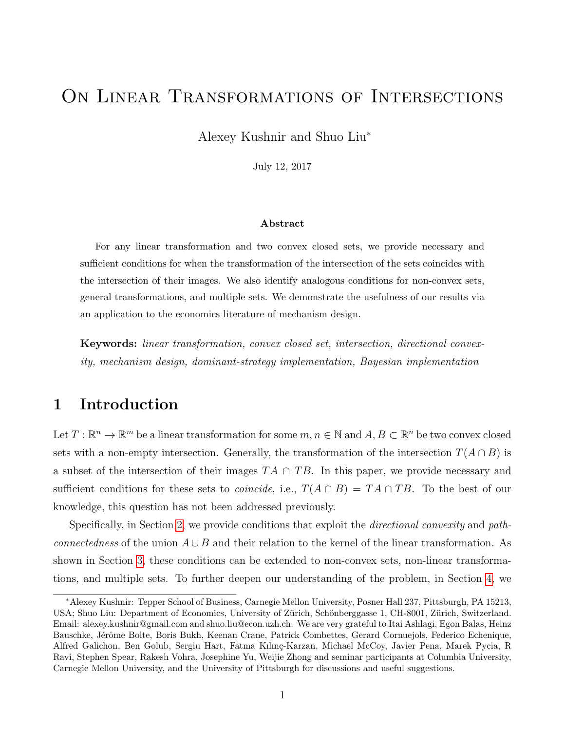# <span id="page-0-0"></span>On Linear Transformations of Intersections

Alexey Kushnir and Shuo Liu<sup>∗</sup>

July 12, 2017

#### Abstract

For any linear transformation and two convex closed sets, we provide necessary and sufficient conditions for when the transformation of the intersection of the sets coincides with the intersection of their images. We also identify analogous conditions for non-convex sets, general transformations, and multiple sets. We demonstrate the usefulness of our results via an application to the economics literature of mechanism design.

Keywords: linear transformation, convex closed set, intersection, directional convexity, mechanism design, dominant-strategy implementation, Bayesian implementation

## 1 Introduction

Let  $T: \mathbb{R}^n \to \mathbb{R}^m$  be a linear transformation for some  $m, n \in \mathbb{N}$  and  $A, B \subset \mathbb{R}^n$  be two convex closed sets with a non-empty intersection. Generally, the transformation of the intersection  $T(A \cap B)$  is a subset of the intersection of their images  $TA \cap TB$ . In this paper, we provide necessary and sufficient conditions for these sets to *coincide*, i.e.,  $T(A \cap B) = TA \cap TB$ . To the best of our knowledge, this question has not been addressed previously.

Specifically, in Section [2,](#page-1-0) we provide conditions that exploit the *directional convexity* and pathconnectedness of the union  $A \cup B$  and their relation to the kernel of the linear transformation. As shown in Section [3,](#page-4-0) these conditions can be extended to non-convex sets, non-linear transformations, and multiple sets. To further deepen our understanding of the problem, in Section [4,](#page-6-0) we

<sup>∗</sup>Alexey Kushnir: Tepper School of Business, Carnegie Mellon University, Posner Hall 237, Pittsburgh, PA 15213, USA; Shuo Liu: Department of Economics, University of Zürich, Schönberggasse 1, CH-8001, Zürich, Switzerland. Email: alexey.kushnir@gmail.com and shuo.liu@econ.uzh.ch. We are very grateful to Itai Ashlagi, Egon Balas, Heinz Bauschke, Jérôme Bolte, Boris Bukh, Keenan Crane, Patrick Combettes, Gerard Cornuejols, Federico Echenique, Alfred Galichon, Ben Golub, Sergiu Hart, Fatma Kılınç-Karzan, Michael McCoy, Javier Pena, Marek Pycia, R Ravi, Stephen Spear, Rakesh Vohra, Josephine Yu, Weijie Zhong and seminar participants at Columbia University, Carnegie Mellon University, and the University of Pittsburgh for discussions and useful suggestions.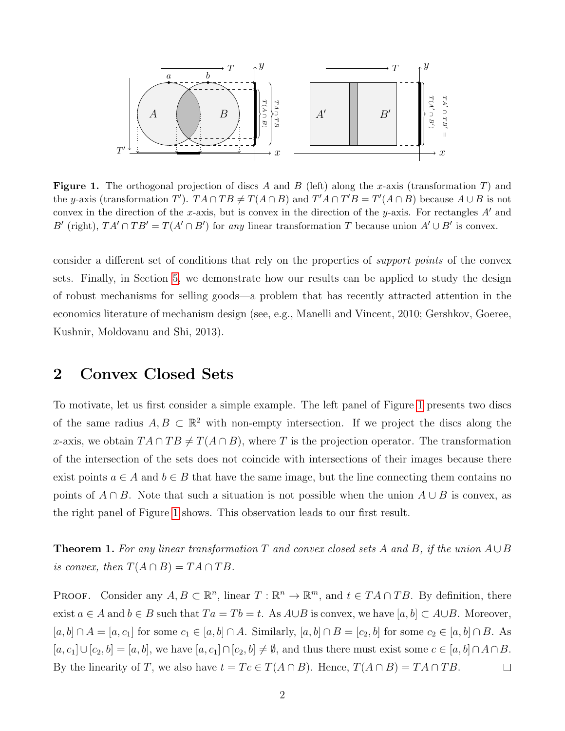

<span id="page-1-1"></span>**Figure 1.** The orthogonal projection of discs A and B (left) along the x-axis (transformation T) and the y-axis (transformation T').  $TA \cap TB \neq T(A \cap B)$  and  $T'A \cap T'B = T'(A \cap B)$  because  $A \cup B$  is not convex in the direction of the x-axis, but is convex in the direction of the y-axis. For rectangles  $A'$  and B' (right),  $TA' \cap TB' = T(A' \cap B')$  for any linear transformation T because union  $A' \cup B'$  is convex.

consider a different set of conditions that rely on the properties of support points of the convex sets. Finally, in Section [5,](#page-9-0) we demonstrate how our results can be applied to study the design of robust mechanisms for selling goods—a problem that has recently attracted attention in the economics literature of mechanism design (see, e.g., Manelli and Vincent, 2010; Gershkov, Goeree, Kushnir, Moldovanu and Shi, 2013).

#### <span id="page-1-0"></span>2 Convex Closed Sets

To motivate, let us first consider a simple example. The left panel of Figure [1](#page-1-1) presents two discs of the same radius  $A, B \subset \mathbb{R}^2$  with non-empty intersection. If we project the discs along the x-axis, we obtain  $TA \cap TB \neq T(A \cap B)$ , where T is the projection operator. The transformation of the intersection of the sets does not coincide with intersections of their images because there exist points  $a \in A$  and  $b \in B$  that have the same image, but the line connecting them contains no points of  $A \cap B$ . Note that such a situation is not possible when the union  $A \cup B$  is convex, as the right panel of Figure [1](#page-1-1) shows. This observation leads to our first result.

<span id="page-1-2"></span>**Theorem 1.** For any linear transformation T and convex closed sets A and B, if the union  $A \cup B$ is convex, then  $T(A \cap B) = TA \cap TB$ .

**PROOF.** Consider any  $A, B \subset \mathbb{R}^n$ , linear  $T : \mathbb{R}^n \to \mathbb{R}^m$ , and  $t \in TA \cap TB$ . By definition, there exist  $a \in A$  and  $b \in B$  such that  $Ta = Tb = t$ . As  $A \cup B$  is convex, we have  $[a, b] \subset A \cup B$ . Moreover,  $[a, b] \cap A = [a, c_1]$  for some  $c_1 \in [a, b] \cap A$ . Similarly,  $[a, b] \cap B = [c_2, b]$  for some  $c_2 \in [a, b] \cap B$ . As  $[a, c_1] \cup [c_2, b] = [a, b]$ , we have  $[a, c_1] \cap [c_2, b] \neq \emptyset$ , and thus there must exist some  $c \in [a, b] \cap A \cap B$ . By the linearity of T, we also have  $t = Tc \in T(A \cap B)$ . Hence,  $T(A \cap B) = TA \cap TB$ .  $\Box$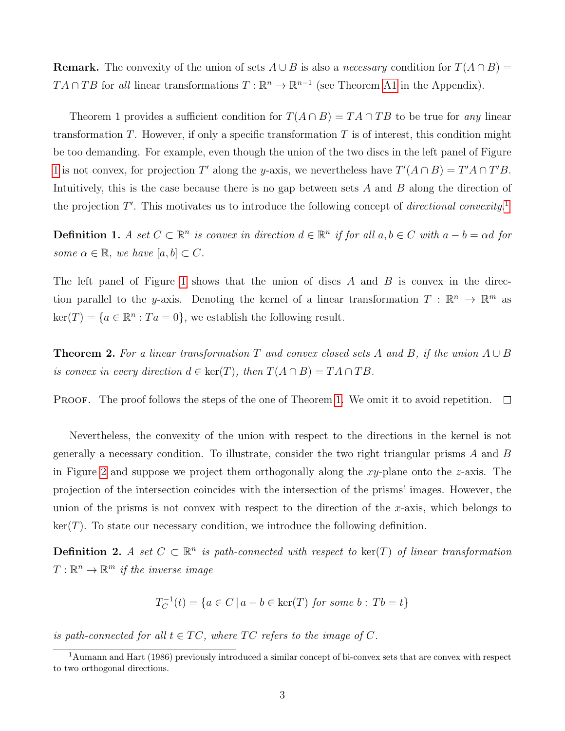**Remark.** The convexity of the union of sets  $A \cup B$  is also a *necessary* condition for  $T(A \cap B) =$  $TA \cap TB$  for all linear transformations  $T : \mathbb{R}^n \to \mathbb{R}^{n-1}$  (see Theorem [A1](#page-1-2) in the Appendix).

Theorem 1 provides a sufficient condition for  $T(A \cap B) = TA \cap TB$  to be true for any linear transformation  $T$ . However, if only a specific transformation  $T$  is of interest, this condition might be too demanding. For example, even though the union of the two discs in the left panel of Figure [1](#page-1-1) is not convex, for projection T' along the y-axis, we nevertheless have  $T'(A \cap B) = T'A \cap T'B$ . Intuitively, this is the case because there is no gap between sets A and B along the direction of the projection  $T'$ . This motivates us to introduce the following concept of *directional convexity*.<sup>[1](#page-0-0)</sup>

**Definition 1.** A set  $C \subset \mathbb{R}^n$  is convex in direction  $d \in \mathbb{R}^n$  if for all  $a, b \in C$  with  $a - b = \alpha d$  for some  $\alpha \in \mathbb{R}$ , we have  $[a, b] \subset C$ .

The left panel of Figure [1](#page-1-1) shows that the union of discs  $A$  and  $B$  is convex in the direction parallel to the y-axis. Denoting the kernel of a linear transformation  $T : \mathbb{R}^n \to \mathbb{R}^m$  as  $\ker(T) = \{a \in \mathbb{R}^n : Ta = 0\},\$  we establish the following result.

<span id="page-2-0"></span>**Theorem 2.** For a linear transformation T and convex closed sets A and B, if the union  $A \cup B$ is convex in every direction  $d \in \text{ker}(T)$ , then  $T(A \cap B) = TA \cap TB$ .

**PROOF.** The proof follows the steps of the one of Theorem [1.](#page-1-2) We omit it to avoid repetition.  $\square$ 

Nevertheless, the convexity of the union with respect to the directions in the kernel is not generally a necessary condition. To illustrate, consider the two right triangular prisms  $A$  and  $B$ in Figure [2](#page-3-0) and suppose we project them orthogonally along the xy-plane onto the z-axis. The projection of the intersection coincides with the intersection of the prisms' images. However, the union of the prisms is not convex with respect to the direction of the x-axis, which belongs to  $ker(T)$ . To state our necessary condition, we introduce the following definition.

**Definition 2.** A set  $C \subset \mathbb{R}^n$  is path-connected with respect to  $\ker(T)$  of linear transformation  $T: \mathbb{R}^n \to \mathbb{R}^m$  if the inverse image

$$
T_C^{-1}(t) = \{ a \in C \mid a - b \in \text{ker}(T) \text{ for some } b : Tb = t \}
$$

is path-connected for all  $t \in TC$ , where TC refers to the image of C.

<sup>1</sup>Aumann and Hart (1986) previously introduced a similar concept of bi-convex sets that are convex with respect to two orthogonal directions.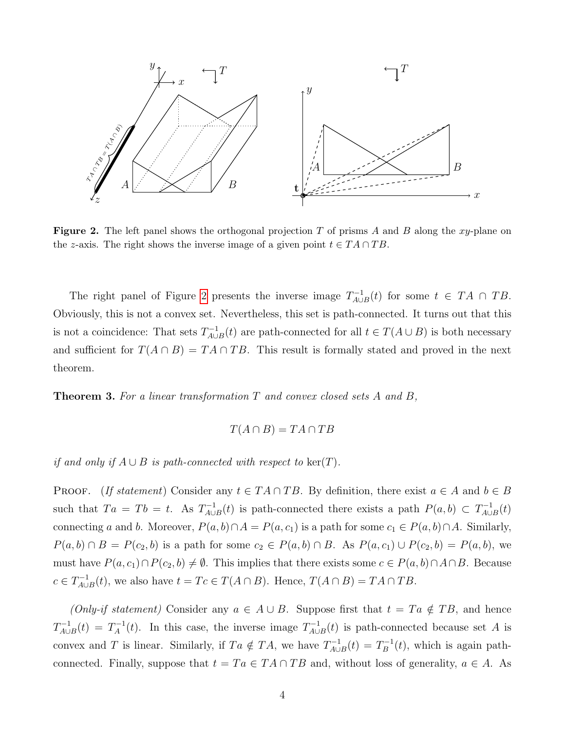

<span id="page-3-0"></span>**Figure 2.** The left panel shows the orthogonal projection T of prisms A and B along the xy-plane on the z-axis. The right shows the inverse image of a given point  $t \in TA \cap TB$ .

The right panel of Figure [2](#page-3-0) presents the inverse image  $T_{A\cup}^{-1}$  $L_{A\cup B}^{-1}(t)$  for some  $t \in TA \cap TB$ . Obviously, this is not a convex set. Nevertheless, this set is path-connected. It turns out that this is not a coincidence: That sets  $T_{A\cup}^{-1}$  $\chi_{A\cup B}^{-1}(t)$  are path-connected for all  $t \in T(A\cup B)$  is both necessary and sufficient for  $T(A \cap B) = TA \cap TB$ . This result is formally stated and proved in the next theorem.

<span id="page-3-1"></span>Theorem 3. For a linear transformation T and convex closed sets A and B,

$$
T(A \cap B) = TA \cap TB
$$

if and only if  $A \cup B$  is path-connected with respect to ker(T).

**PROOF.** (If statement) Consider any  $t \in TA \cap TB$ . By definition, there exist  $a \in A$  and  $b \in B$ such that  $Ta = Tb = t$ . As  $T_{A\cup I}^{-1}$  $P_{A\cup B}^{-1}(t)$  is path-connected there exists a path  $P(a, b) \subset T_{A\cup B}^{-1}(t)$  $\chi_{A\cup B}^{-1}(t)$ connecting a and b. Moreover,  $P(a, b) \cap A = P(a, c_1)$  is a path for some  $c_1 \in P(a, b) \cap A$ . Similarly,  $P(a, b) \cap B = P(c_2, b)$  is a path for some  $c_2 \in P(a, b) \cap B$ . As  $P(a, c_1) \cup P(c_2, b) = P(a, b)$ , we must have  $P(a, c_1) \cap P(c_2, b) \neq \emptyset$ . This implies that there exists some  $c \in P(a, b) \cap A \cap B$ . Because  $c \in T_{A\cup I}^{-1}$  $\chi_{A\cup B}^{-1}(t)$ , we also have  $t = Tc \in T(A \cap B)$ . Hence,  $T(A \cap B) = TA \cap TB$ .

(Only-if statement) Consider any  $a \in A \cup B$ . Suppose first that  $t = Ta \notin TB$ , and hence  $T_{A\cup}^{-1}$  $T_{A\cup B}^{-1}(t) = T_A^{-1}$  $T_A^{-1}(t)$ . In this case, the inverse image  $T_{A\cup A}^{-1}(t)$  $\chi_{A\cup B}^{-1}(t)$  is path-connected because set A is convex and T is linear. Similarly, if  $Ta \notin TA$ , we have  $T_{AU}^{-1}$  $T_{A\cup B}^{-1}(t) = T_B^{-1}$  $\mathbf{g}^{-1}(t)$ , which is again pathconnected. Finally, suppose that  $t = Ta \in TA \cap TB$  and, without loss of generality,  $a \in A$ . As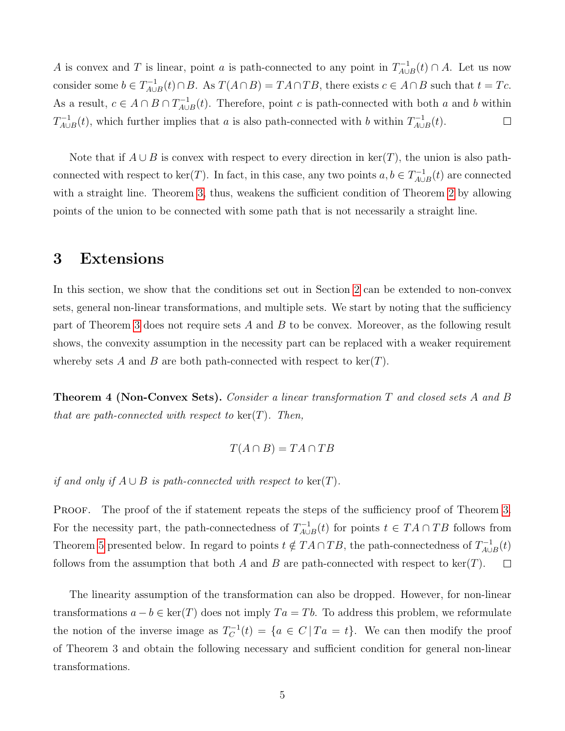A is convex and T is linear, point a is path-connected to any point in  $T_{4U}^{-1}$  $\chi_{A\cup B}^{-1}(t)\cap A$ . Let us now consider some  $b \in T_{A\cup}^{-1}$  $T_{A\cup B}^{-1}(t) \cap B$ . As  $T(A \cap B) = TA \cap TB$ , there exists  $c \in A \cap B$  such that  $t = Tc$ . As a result,  $c \in A \cap B \cap T_{A \cup A}^{-1}$  $\chi_{A\cup B}^{-1}(t)$ . Therefore, point c is path-connected with both a and b within  $T_{A\cup}^{-1}$  $T_{A\cup B}^{-1}(t)$ , which further implies that a is also path-connected with b within  $T_{A\cup B}^{-1}(t)$  $I_{A\cup B}^{-1}(t).$  $\Box$ 

Note that if  $A \cup B$  is convex with respect to every direction in ker(T), the union is also pathconnected with respect to ker(T). In fact, in this case, any two points  $a, b \in T_{A \cup A}^{-1}$  $\chi_{A\cup B}^{-1}(t)$  are connected with a straight line. Theorem [3,](#page-3-1) thus, weakens the sufficient condition of Theorem [2](#page-2-0) by allowing points of the union to be connected with some path that is not necessarily a straight line.

#### <span id="page-4-0"></span>3 Extensions

In this section, we show that the conditions set out in Section [2](#page-1-0) can be extended to non-convex sets, general non-linear transformations, and multiple sets. We start by noting that the sufficiency part of Theorem [3](#page-3-1) does not require sets A and B to be convex. Moreover, as the following result shows, the convexity assumption in the necessity part can be replaced with a weaker requirement whereby sets A and B are both path-connected with respect to  $\ker(T)$ .

Theorem 4 (Non-Convex Sets). Consider a linear transformation T and closed sets A and B that are path-connected with respect to  $\ker(T)$ . Then,

$$
T(A \cap B) = TA \cap TB
$$

if and only if  $A \cup B$  is path-connected with respect to ker(T).

PROOF. The proof of the if statement repeats the steps of the sufficiency proof of Theorem [3.](#page-3-1) For the necessity part, the path-connectedness of  $T_{A\cup A}^{-1}$  $\chi_{A\cup B}^{-1}(t)$  for points  $t \in TA \cap TB$  follows from Theorem [5](#page-5-0) presented below. In regard to points  $t \notin T A \cap TB$ , the path-connectedness of  $T_{A \cup A}^{-1}$  $\chi_{A\cup B}^{-1}(t)$ follows from the assumption that both A and B are path-connected with respect to ker(T).  $\Box$ 

The linearity assumption of the transformation can also be dropped. However, for non-linear transformations  $a - b \in \text{ker}(T)$  does not imply  $Ta = Tb$ . To address this problem, we reformulate the notion of the inverse image as  $T_C^{-1}$  $C^{-1}(t) = \{a \in C \mid Ta = t\}.$  We can then modify the proof of Theorem 3 and obtain the following necessary and sufficient condition for general non-linear transformations.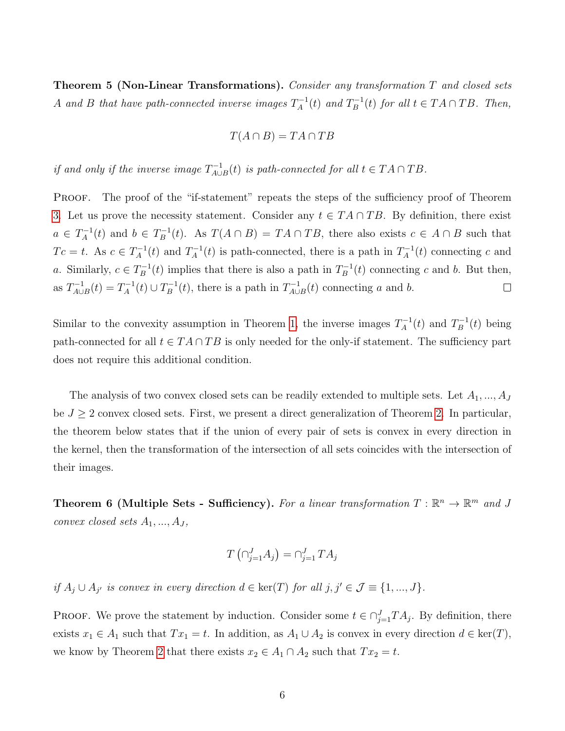<span id="page-5-0"></span>**Theorem 5 (Non-Linear Transformations).** Consider any transformation  $T$  and closed sets A and B that have path-connected inverse images  $T_A^{-1}$  $I_A^{-1}(t)$  and  $T_B^{-1}$  $E_B^{-1}(t)$  for all  $t \in TA \cap TB$ . Then,

$$
T(A \cap B) = TA \cap TB
$$

if and only if the inverse image  $T_{A\cup}^{-1}$  $L_{A\cup B}^{-1}(t)$  is path-connected for all  $t \in TA \cap TB$ .

PROOF. The proof of the "if-statement" repeats the steps of the sufficiency proof of Theorem [3.](#page-3-1) Let us prove the necessity statement. Consider any  $t \in TA \cap TB$ . By definition, there exist  $a \in T_A^{-1}$  $I_A^{-1}(t)$  and  $b \in T_B^{-1}$  $B_B^{-1}(t)$ . As  $T(A \cap B) = TA \cap TB$ , there also exists  $c \in A \cap B$  such that  $T c = t$ . As  $c \in T_A^{-1}$  $T_A^{-1}(t)$  and  $T_A^{-1}$  $T_A^{-1}(t)$  is path-connected, there is a path in  $T_A^{-1}$  $\chi_A^{-1}(t)$  connecting c and a. Similarly,  $c \in T_B^{-1}$  $E_B^{-1}(t)$  implies that there is also a path in  $T_B^{-1}$  $b_B^{-1}(t)$  connecting c and b. But then, as  $T_{A\cup}^{-1}$  $T_{A\cup B}^{-1}(t) = T_A^{-1}$  $T_A^{-1}(t) \cup T_B^{-1}$  $L_B^{-1}(t)$ , there is a path in  $T_{A\cup}^{-1}$  $\chi_{A\cup B}^{-1}(t)$  connecting a and b.  $\Box$ 

Similar to the convexity assumption in Theorem [1,](#page-1-2) the inverse images  $T_A^{-1}$  $T_A^{-1}(t)$  and  $T_B^{-1}$  $b_B^{-1}(t)$  being path-connected for all  $t \in TA \cap TB$  is only needed for the only-if statement. The sufficiency part does not require this additional condition.

The analysis of two convex closed sets can be readily extended to multiple sets. Let  $A_1, ..., A_J$ be  $J \geq 2$  convex closed sets. First, we present a direct generalization of Theorem [2.](#page-2-0) In particular, the theorem below states that if the union of every pair of sets is convex in every direction in the kernel, then the transformation of the intersection of all sets coincides with the intersection of their images.

<span id="page-5-1"></span>Theorem 6 (Multiple Sets - Sufficiency). For a linear transformation  $T : \mathbb{R}^n \to \mathbb{R}^m$  and J convex closed sets  $A_1, ..., A_J$ ,

$$
T\left(\cap_{j=1}^{J} A_j\right) = \cap_{j=1}^{J} TA_j
$$

if  $A_j \cup A_{j'}$  is convex in every direction  $d \in \text{ker}(T)$  for all  $j, j' \in \mathcal{J} \equiv \{1, ..., J\}$ .

**PROOF.** We prove the statement by induction. Consider some  $t \in \bigcap_{j=1}^{J} TA_j$ . By definition, there exists  $x_1 \in A_1$  such that  $Tx_1 = t$ . In addition, as  $A_1 \cup A_2$  is convex in every direction  $d \in \text{ker}(T)$ , we know by Theorem [2](#page-2-0) that there exists  $x_2 \in A_1 \cap A_2$  such that  $Tx_2 = t$ .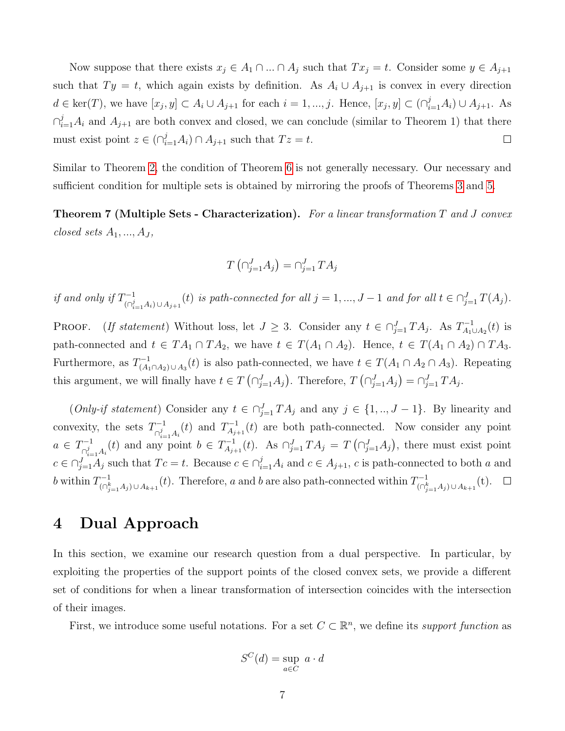Now suppose that there exists  $x_j \in A_1 \cap ... \cap A_j$  such that  $Tx_j = t$ . Consider some  $y \in A_{j+1}$ such that  $Ty = t$ , which again exists by definition. As  $A_i \cup A_{j+1}$  is convex in every direction  $d \in \text{ker}(T)$ , we have  $[x_j, y] \subset A_i \cup A_{j+1}$  for each  $i = 1, ..., j$ . Hence,  $[x_j, y] \subset (\bigcap_{i=1}^j A_i) \cup A_{j+1}$ . As  $\bigcap_{i=1}^j A_i$  and  $A_{j+1}$  are both convex and closed, we can conclude (similar to Theorem 1) that there must exist point  $z \in (\bigcap_{i=1}^{j} A_i) \cap A_{j+1}$  such that  $Tz = t$ .  $\Box$ 

Similar to Theorem [2,](#page-2-0) the condition of Theorem [6](#page-5-1) is not generally necessary. Our necessary and sufficient condition for multiple sets is obtained by mirroring the proofs of Theorems [3](#page-3-1) and [5.](#page-5-0)

**Theorem 7 (Multiple Sets - Characterization).** For a linear transformation T and J convex closed sets  $A_1, ..., A_J$ ,

$$
T\left(\bigcap_{j=1}^{J} A_j\right) = \bigcap_{j=1}^{J} TA_j
$$

if and only if  $T^{-1}_{\alpha}$  $\prod_{\substack{(\\i,j=1}\\(n_j=1)}^{n-1}$  (t) is path-connected for all  $j=1,\ldots,J-1$  and for all  $t \in \bigcap_{j=1}^J T(A_j)$ .

PROOF. (If statement) Without loss, let  $J \geq 3$ . Consider any  $t \in \bigcap_{j=1}^{J} TA_j$ . As  $T_{A_1}^{-1}$  $I_{A_1\cup A_2}^{-1}(t)$  is path-connected and  $t \in TA_1 \cap TA_2$ , we have  $t \in T(A_1 \cap A_2)$ . Hence,  $t \in T(A_1 \cap A_2) \cap TA_3$ . Furthermore, as  $T_{(A)}^{-1}$  $\chi_{(A_1 \cap A_2) \cup A_3}^{-1}(t)$  is also path-connected, we have  $t \in T(A_1 \cap A_2 \cap A_3)$ . Repeating this argument, we will finally have  $t \in T(\bigcap_{j=1}^{J} A_j)$ . Therefore,  $T(\bigcap_{j=1}^{J} A_j) = \bigcap_{j=1}^{J} TA_j$ .

(Only-if statement) Consider any  $t \in \bigcap_{j=1}^{J} TA_j$  and any  $j \in \{1, ..., J-1\}$ . By linearity and convexity, the sets  $T_{\circ i}^{-1}$  $\bigcap_{i=1}^{n-1} A_i(t)$  and  $T_{A_{j-1}}^{-1}$  $\chi_{A_{j+1}}^{-1}(t)$  are both path-connected. Now consider any point  $a \in T^{-1}_{\alpha i}$  $\bigcap_{i=1}^{j-1} A_i(t)$  and any point  $b \in T_{A_{j+1}}^{-1}$  $A_{j+1}^{-1}(t)$ . As  $\bigcap_{j=1}^{J} TA_j = T(\bigcap_{j=1}^{J} A_j)$ , there must exist point  $c \in \bigcap_{j=1}^{J} A_j$  such that  $T_c = t$ . Because  $c \in \bigcap_{i=1}^{j} A_i$  and  $c \in A_{j+1}$ , c is path-connected to both a and b within  $T_{c}^{-1}$  $\prod_{(\cap_{j=1}^k A_j) \cup A_{k+1}}^{n-1}(t)$ . Therefore, a and b are also path-connected within  $T_{(\cap_{j=1}^k A_j)}^{-1}(t)$  $\prod_{j=1}^{n-1} A_j \cup A_{k+1} (t).$ 

### <span id="page-6-0"></span>4 Dual Approach

In this section, we examine our research question from a dual perspective. In particular, by exploiting the properties of the support points of the closed convex sets, we provide a different set of conditions for when a linear transformation of intersection coincides with the intersection of their images.

First, we introduce some useful notations. For a set  $C \subset \mathbb{R}^n$ , we define its support function as

$$
S^C(d) = \sup_{a \in C} a \cdot d
$$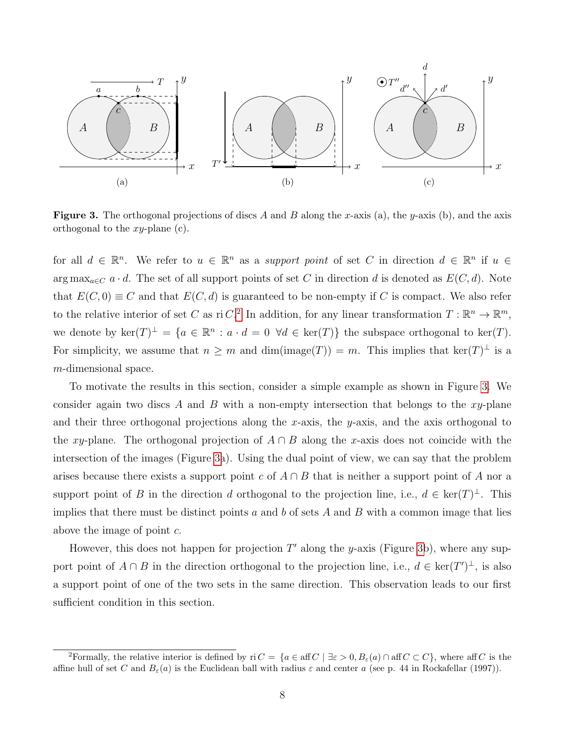

<span id="page-7-0"></span>Figure 3. The orthogonal projections of discs A and B along the x-axis (a), the y-axis (b), and the axis orthogonal to the  $xy$ -plane (c).

for all  $d \in \mathbb{R}^n$ . We refer to  $u \in \mathbb{R}^n$  as a *support point* of set C in direction  $d \in \mathbb{R}^n$  if  $u \in$ arg max<sub>a∈C</sub>  $a \cdot d$ . The set of all support points of set C in direction d is denoted as  $E(C, d)$ . Note that  $E(C, 0) \equiv C$  and that  $E(C, d)$  is guaranteed to be non-empty if C is compact. We also refer to the relative interior of set C as ri C.<sup>[2](#page-0-0)</sup> In addition, for any linear transformation  $T : \mathbb{R}^n \to \mathbb{R}^m$ , we denote by  $\ker(T)^{\perp} = \{a \in \mathbb{R}^n : a \cdot d = 0 \ \forall d \in \ker(T)\}\$  the subspace orthogonal to  $\ker(T)$ . For simplicity, we assume that  $n \geq m$  and  $\dim(\text{image}(T)) = m$ . This implies that  $\ker(T)^{\perp}$  is a m-dimensional space.

To motivate the results in this section, consider a simple example as shown in Figure [3.](#page-7-0) We consider again two discs A and B with a non-empty intersection that belongs to the  $xy$ -plane and their three orthogonal projections along the x-axis, the y-axis, and the axis orthogonal to the xy-plane. The orthogonal projection of  $A \cap B$  along the x-axis does not coincide with the intersection of the images (Figure [3a](#page-7-0)). Using the dual point of view, we can say that the problem arises because there exists a support point c of  $A \cap B$  that is neither a support point of A nor a support point of B in the direction d orthogonal to the projection line, i.e.,  $d \in \text{ker}(T)^{\perp}$ . This implies that there must be distinct points a and b of sets A and B with a common image that lies above the image of point  $c$ .

However, this does not happen for projection  $T'$  along the y-axis (Figure [3b](#page-7-0)), where any support point of  $A \cap B$  in the direction orthogonal to the projection line, i.e.,  $d \in \text{ker}(T')^{\perp}$ , is also a support point of one of the two sets in the same direction. This observation leads to our first sufficient condition in this section.

<sup>&</sup>lt;sup>2</sup>Formally, the relative interior is defined by ri  $C = \{a \in \text{aff } C \mid \exists \varepsilon > 0, B_{\varepsilon}(a) \cap \text{aff } C \subset C\}$ , where aff C is the affine hull of set C and  $B_{\varepsilon}(a)$  is the Euclidean ball with radius  $\varepsilon$  and center a (see p. 44 in Rockafellar (1997)).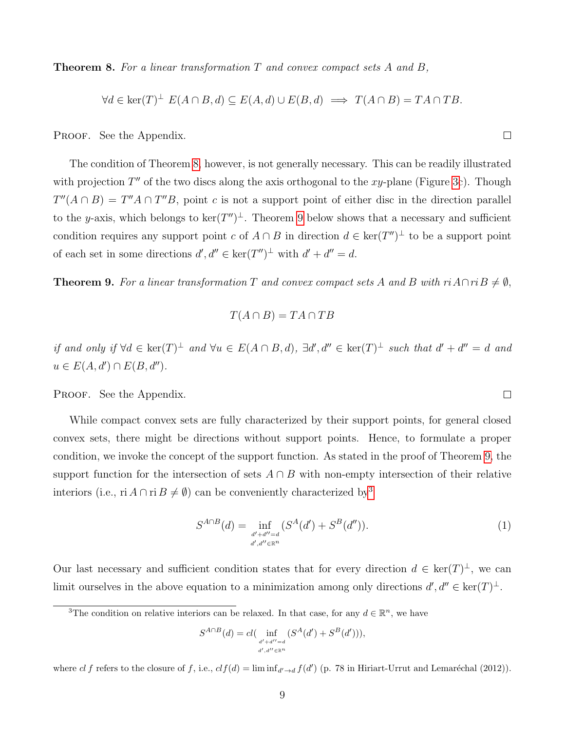**Theorem 8.** For a linear transformation  $T$  and convex compact sets  $A$  and  $B$ ,

<span id="page-8-0"></span>
$$
\forall d \in \ker(T)^{\perp} E(A \cap B, d) \subseteq E(A, d) \cup E(B, d) \implies T(A \cap B) = TA \cap TB.
$$

PROOF. See the Appendix.

The condition of Theorem [8,](#page-8-0) however, is not generally necessary. This can be readily illustrated with projection  $T''$  of the two discs along the axis orthogonal to the xy-plane (Figure [3c](#page-7-0)). Though  $T''(A \cap B) = T''A \cap T''B$ , point c is not a support point of either disc in the direction parallel to the y-axis, which belongs to  $\ker(T'')^{\perp}$ . Theorem [9](#page-8-1) below shows that a necessary and sufficient condition requires any support point c of  $A \cap B$  in direction  $d \in \text{ker}(T'')^{\perp}$  to be a support point of each set in some directions  $d', d'' \in \ker(T'')^{\perp}$  with  $d' + d'' = d$ .

<span id="page-8-1"></span>**Theorem 9.** For a linear transformation T and convex compact sets A and B with  $ri A \cap ri B \neq \emptyset$ ,

$$
T(A \cap B) = TA \cap TB
$$

if and only if  $\forall d \in \text{ker}(T)^{\perp}$  and  $\forall u \in E(A \cap B, d)$ ,  $\exists d', d'' \in \text{ker}(T)^{\perp}$  such that  $d' + d'' = d$  and  $u \in E(A, d') \cap E(B, d'').$ 

PROOF. See the Appendix.

While compact convex sets are fully characterized by their support points, for general closed convex sets, there might be directions without support points. Hence, to formulate a proper condition, we invoke the concept of the support function. As stated in the proof of Theorem [9,](#page-8-1) the support function for the intersection of sets  $A \cap B$  with non-empty intersection of their relative interiors (i.e., ri  $A \cap r \in B \neq \emptyset$ ) can be conveniently characterized by<sup>[3](#page-0-0)</sup>

<span id="page-8-2"></span>
$$
S^{A \cap B}(d) = \inf_{\substack{d' + d'' = d \\ d', d'' \in \mathbb{R}^n}} (S^A(d') + S^B(d'')).
$$
 (1)

Our last necessary and sufficient condition states that for every direction  $d \in \text{ker}(T)^{\perp}$ , we can limit ourselves in the above equation to a minimization among only directions  $d', d'' \in \text{ker}(T)^{\perp}$ .

$$
S^{A \cap B}(d) = cl\big(\inf_{\substack{d' + d'' = d \\ d', d'' \in \mathbb{R}^n}} (S^A(d') + S^B(d'))\big),
$$

where cl f refers to the closure of f, i.e.,  $clf(d) = \liminf_{d' \to d} f(d')$  (p. 78 in Hiriart-Urrut and Lemaréchal (2012)).

 $\Box$ 

 $\Box$ 

<sup>&</sup>lt;sup>3</sup>The condition on relative interiors can be relaxed. In that case, for any  $d \in \mathbb{R}^n$ , we have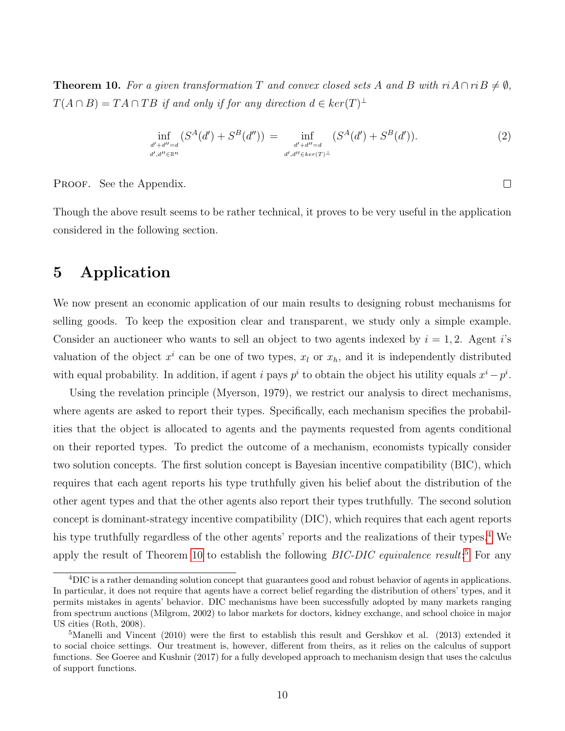<span id="page-9-1"></span>**Theorem 10.** For a given transformation T and convex closed sets A and B with  $ri A \cap ri B \neq \emptyset$ ,  $T(A \cap B) = TA \cap TB$  if and only if for any direction  $d \in ker(T)^{\perp}$ 

$$
\inf_{\substack{d'+d''=d\\d',d''\in\mathbb{R}^n}} (S^A(d') + S^B(d'')) = \inf_{\substack{d'+d''=d\\d',d''\in\ker(T)^\perp}} (S^A(d') + S^B(d')). \tag{2}
$$

 $\Box$ 

PROOF. See the Appendix.

Though the above result seems to be rather technical, it proves to be very useful in the application considered in the following section.

## <span id="page-9-0"></span>5 Application

We now present an economic application of our main results to designing robust mechanisms for selling goods. To keep the exposition clear and transparent, we study only a simple example. Consider an auctioneer who wants to sell an object to two agents indexed by  $i = 1, 2$ . Agent i's valuation of the object  $x^i$  can be one of two types,  $x_l$  or  $x_h$ , and it is independently distributed with equal probability. In addition, if agent i pays  $p^i$  to obtain the object his utility equals  $x^i - p^i$ .

Using the revelation principle (Myerson, 1979), we restrict our analysis to direct mechanisms, where agents are asked to report their types. Specifically, each mechanism specifies the probabilities that the object is allocated to agents and the payments requested from agents conditional on their reported types. To predict the outcome of a mechanism, economists typically consider two solution concepts. The first solution concept is Bayesian incentive compatibility (BIC), which requires that each agent reports his type truthfully given his belief about the distribution of the other agent types and that the other agents also report their types truthfully. The second solution concept is dominant-strategy incentive compatibility (DIC), which requires that each agent reports his type truthfully regardless of the other agents' reports and the realizations of their types.<sup>[4](#page-0-0)</sup> We apply the result of Theorem [10](#page-9-1) to establish the following  $BIC-DIC$  equivalence result:<sup>[5](#page-0-0)</sup> For any

<sup>4</sup>DIC is a rather demanding solution concept that guarantees good and robust behavior of agents in applications. In particular, it does not require that agents have a correct belief regarding the distribution of others' types, and it permits mistakes in agents' behavior. DIC mechanisms have been successfully adopted by many markets ranging from spectrum auctions (Milgrom, 2002) to labor markets for doctors, kidney exchange, and school choice in major US cities (Roth, 2008).

<sup>&</sup>lt;sup>5</sup>Manelli and Vincent (2010) were the first to establish this result and Gershkov et al. (2013) extended it to social choice settings. Our treatment is, however, different from theirs, as it relies on the calculus of support functions. See Goeree and Kushnir (2017) for a fully developed approach to mechanism design that uses the calculus of support functions.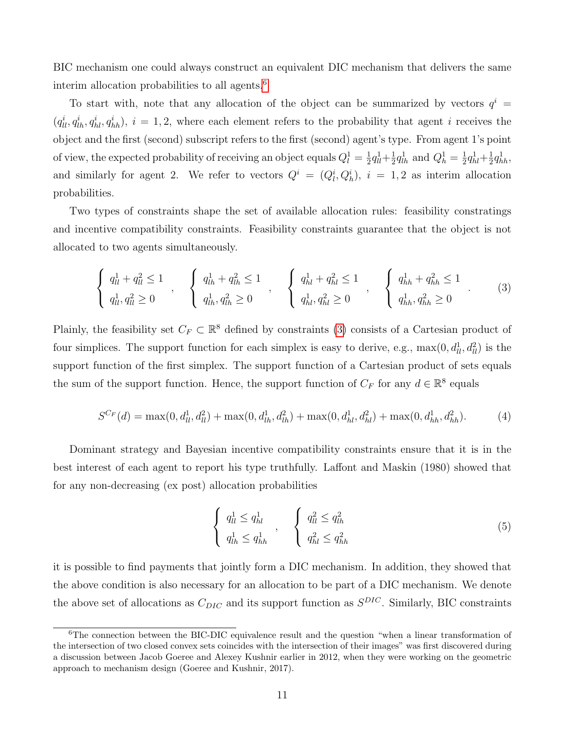BIC mechanism one could always construct an equivalent DIC mechanism that delivers the same interim allocation probabilities to all agents.<sup>[6](#page-0-0)</sup>

To start with, note that any allocation of the object can be summarized by vectors  $q^i$  =  $(q_{ll}^i, q_{lh}^i, q_{hl}^i, q_{hh}^i), i = 1, 2$ , where each element refers to the probability that agent i receives the object and the first (second) subscript refers to the first (second) agent's type. From agent 1's point of view, the expected probability of receiving an object equals  $Q_l^1 = \frac{1}{2}$  $rac{1}{2}q_{ll}^{1}+\frac{1}{2}$  $\frac{1}{2}q_{lh}^1$  and  $Q_h^1 = \frac{1}{2}$  $rac{1}{2}q_{hl}^{1} + \frac{1}{2}$  $\frac{1}{2}q_{hh}^{1},$ and similarly for agent 2. We refer to vectors  $Q^i = (Q_l^i, Q_h^i)$ ,  $i = 1, 2$  as interim allocation probabilities.

Two types of constraints shape the set of available allocation rules: feasibility constratings and incentive compatibility constraints. Feasibility constraints guarantee that the object is not allocated to two agents simultaneously.

<span id="page-10-0"></span>
$$
\begin{cases} q_{ll}^{1} + q_{ll}^{2} \le 1 \\ q_{ll}^{1}, q_{ll}^{2} \ge 0 \end{cases}, \quad \begin{cases} q_{lh}^{1} + q_{lh}^{2} \le 1 \\ q_{lh}^{1}, q_{lh}^{2} \ge 0 \end{cases}, \quad \begin{cases} q_{hl}^{1} + q_{hl}^{2} \le 1 \\ q_{hl}^{1}, q_{hl}^{2} \ge 0 \end{cases}, \quad \begin{cases} q_{hh}^{1} + q_{hh}^{2} \le 1 \\ q_{hh}^{1}, q_{lh}^{2} \ge 0 \end{cases}.
$$
 (3)

Plainly, the feasibility set  $C_F \subset \mathbb{R}^8$  defined by constraints [\(3\)](#page-10-0) consists of a Cartesian product of four simplices. The support function for each simplex is easy to derive, e.g.,  $\max(0, d_{ll}^1, d_{ll}^2)$  is the support function of the first simplex. The support function of a Cartesian product of sets equals the sum of the support function. Hence, the support function of  $C_F$  for any  $d \in \mathbb{R}^8$  equals

$$
S^{C_F}(d) = \max(0, d_{ll}^1, d_{ll}^2) + \max(0, d_{lh}^1, d_{lh}^2) + \max(0, d_{hl}^1, d_{hl}^2) + \max(0, d_{hh}^1, d_{hh}^2).
$$
 (4)

Dominant strategy and Bayesian incentive compatibility constraints ensure that it is in the best interest of each agent to report his type truthfully. Laffont and Maskin (1980) showed that for any non-decreasing (ex post) allocation probabilities

<span id="page-10-1"></span>
$$
\begin{cases} q_{ll}^{1} \leq q_{hl}^{1} \\ q_{lh}^{1} \leq q_{hh}^{1} \end{cases}, \qquad \begin{cases} q_{ll}^{2} \leq q_{lh}^{2} \\ q_{hl}^{2} \leq q_{hh}^{2} \end{cases} \tag{5}
$$

it is possible to find payments that jointly form a DIC mechanism. In addition, they showed that the above condition is also necessary for an allocation to be part of a DIC mechanism. We denote the above set of allocations as  $C_{DIC}$  and its support function as  $S^{DIC}$ . Similarly, BIC constraints

<sup>&</sup>lt;sup>6</sup>The connection between the BIC-DIC equivalence result and the question "when a linear transformation of the intersection of two closed convex sets coincides with the intersection of their images" was first discovered during a discussion between Jacob Goeree and Alexey Kushnir earlier in 2012, when they were working on the geometric approach to mechanism design (Goeree and Kushnir, 2017).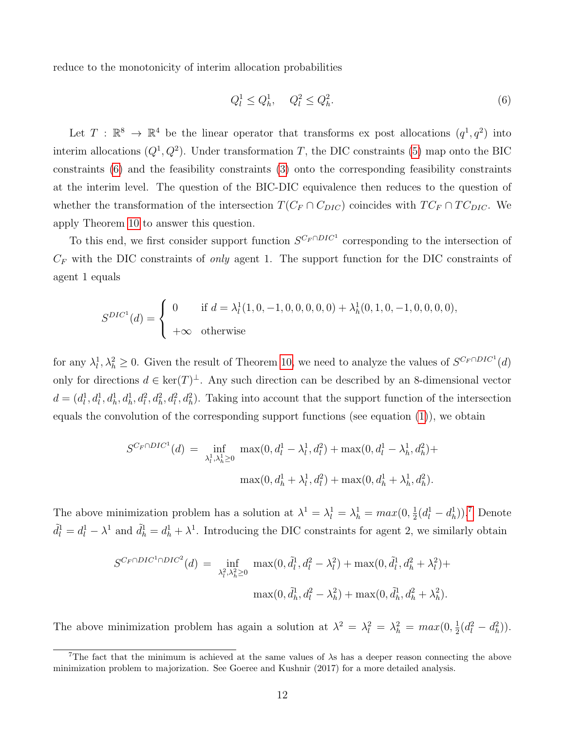reduce to the monotonicity of interim allocation probabilities

<span id="page-11-0"></span>
$$
Q_l^1 \le Q_h^1, \quad Q_l^2 \le Q_h^2. \tag{6}
$$

Let  $T : \mathbb{R}^8 \to \mathbb{R}^4$  be the linear operator that transforms ex post allocations  $(q^1, q^2)$  into interim allocations  $(Q^1, Q^2)$ . Under transformation T, the DIC constraints [\(5\)](#page-10-1) map onto the BIC constraints [\(6\)](#page-11-0) and the feasibility constraints [\(3\)](#page-10-0) onto the corresponding feasibility constraints at the interim level. The question of the BIC-DIC equivalence then reduces to the question of whether the transformation of the intersection  $T(C_F \cap C_{DIC})$  coincides with  $TC_F \cap TC_{DIC}$ . We apply Theorem [10](#page-9-1) to answer this question.

To this end, we first consider support function  $S^{C_F \cap DIC^1}$  corresponding to the intersection of  $C_F$  with the DIC constraints of *only* agent 1. The support function for the DIC constraints of agent 1 equals

$$
S^{DIC} (d) = \begin{cases} 0 & \text{if } d = \lambda_l^1(1, 0, -1, 0, 0, 0, 0, 0) + \lambda_h^1(0, 1, 0, -1, 0, 0, 0, 0), \\ +\infty & \text{otherwise} \end{cases}
$$

for any  $\lambda_l^1, \lambda_h^2 \geq 0$ . Given the result of Theorem [10,](#page-9-1) we need to analyze the values of  $S^{C_F \cap DIC^1}(d)$ only for directions  $d \in \text{ker}(T)^{\perp}$ . Any such direction can be described by an 8-dimensional vector  $d = (d_l^1, d_h^1, d_h^1, d_h^2, d_h^2, d_h^2, d_h^2)$ . Taking into account that the support function of the intersection equals the convolution of the corresponding support functions (see equation [\(1\)](#page-8-2)), we obtain

$$
S^{C_F \cap DIC^1}(d) = \inf_{\lambda_l^1, \lambda_h^1 \ge 0} \max(0, d_l^1 - \lambda_l^1, d_l^2) + \max(0, d_l^1 - \lambda_h^1, d_h^2) + \max(0, d_h^1 + \lambda_l^1, d_l^2) + \max(0, d_h^1 + \lambda_h^1, d_h^2).
$$

The above minimization problem has a solution at  $\lambda^1 = \lambda_l^1 = \lambda_h^1 = max(0, \frac{1}{2})$  $\frac{1}{2}(d_l^1 - d_h^1)$ .<sup>[7](#page-0-0)</sup> Denote  $\tilde{d}_l^1 = d_l^1 - \lambda^1$  and  $\tilde{d}_h^1 = d_h^1 + \lambda^1$ . Introducing the DIC constraints for agent 2, we similarly obtain

$$
S^{C_F \cap DIC^1 \cap DIC^2}(d) = \inf_{\lambda_l^2, \lambda_h^2 \ge 0} \max(0, \tilde{d}_l^1, d_l^2 - \lambda_l^2) + \max(0, \tilde{d}_l^1, d_h^2 + \lambda_l^2) + \max(0, \tilde{d}_h^1, d_h^2 - \lambda_h^2) + \max(0, \tilde{d}_h^1, d_h^2 + \lambda_h^2).
$$

The above minimization problem has again a solution at  $\lambda^2 = \lambda_l^2 = \lambda_h^2 = max(0, \frac{1}{2})$  $\frac{1}{2}(d_l^2 - d_h^2)$ .

<sup>&</sup>lt;sup>7</sup>The fact that the minimum is achieved at the same values of  $\lambda$ s has a deeper reason connecting the above minimization problem to majorization. See Goeree and Kushnir (2017) for a more detailed analysis.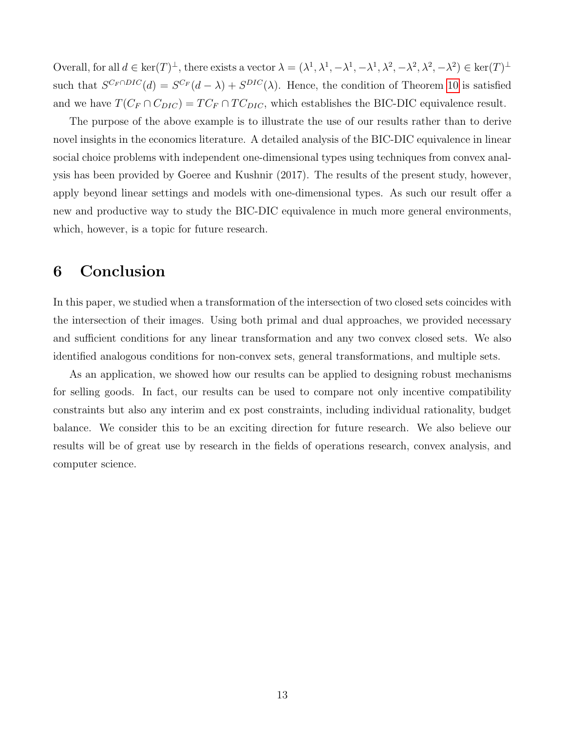Overall, for all  $d \in \ker(T)^{\perp}$ , there exists a vector  $\lambda = (\lambda^1, \lambda^1, -\lambda^1, -\lambda^1, \lambda^2, -\lambda^2, \lambda^2, -\lambda^2) \in \ker(T)^{\perp}$ such that  $S^{C_F \cap DIC}(d) = S^{C_F}(d - \lambda) + S^{DIC}(\lambda)$ . Hence, the condition of Theorem [10](#page-9-1) is satisfied and we have  $T(C_F \cap C_{DIC}) = TC_F \cap TC_{DIC}$ , which establishes the BIC-DIC equivalence result.

The purpose of the above example is to illustrate the use of our results rather than to derive novel insights in the economics literature. A detailed analysis of the BIC-DIC equivalence in linear social choice problems with independent one-dimensional types using techniques from convex analysis has been provided by Goeree and Kushnir (2017). The results of the present study, however, apply beyond linear settings and models with one-dimensional types. As such our result offer a new and productive way to study the BIC-DIC equivalence in much more general environments, which, however, is a topic for future research.

### 6 Conclusion

In this paper, we studied when a transformation of the intersection of two closed sets coincides with the intersection of their images. Using both primal and dual approaches, we provided necessary and sufficient conditions for any linear transformation and any two convex closed sets. We also identified analogous conditions for non-convex sets, general transformations, and multiple sets.

As an application, we showed how our results can be applied to designing robust mechanisms for selling goods. In fact, our results can be used to compare not only incentive compatibility constraints but also any interim and ex post constraints, including individual rationality, budget balance. We consider this to be an exciting direction for future research. We also believe our results will be of great use by research in the fields of operations research, convex analysis, and computer science.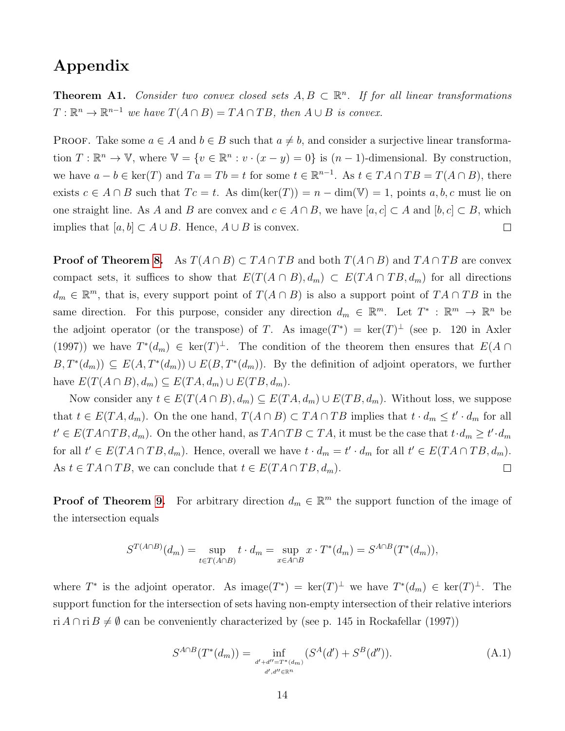## Appendix

**Theorem A1.** Consider two convex closed sets  $A, B \subset \mathbb{R}^n$ . If for all linear transformations  $T: \mathbb{R}^n \to \mathbb{R}^{n-1}$  we have  $T(A \cap B) = TA \cap TB$ , then  $A \cup B$  is convex.

PROOF. Take some  $a \in A$  and  $b \in B$  such that  $a \neq b$ , and consider a surjective linear transformation  $T: \mathbb{R}^n \to \mathbb{V}$ , where  $\mathbb{V} = \{v \in \mathbb{R}^n : v \cdot (x - y) = 0\}$  is  $(n - 1)$ -dimensional. By construction, we have  $a - b \in \text{ker}(T)$  and  $Ta = Tb = t$  for some  $t \in \mathbb{R}^{n-1}$ . As  $t \in TA \cap TB = T(A \cap B)$ , there exists  $c \in A \cap B$  such that  $T_c = t$ . As  $\dim(\ker(T)) = n - \dim(V) = 1$ , points  $a, b, c$  must lie on one straight line. As A and B are convex and  $c \in A \cap B$ , we have  $[a, c] \subset A$  and  $[b, c] \subset B$ , which implies that  $[a, b] \subset A \cup B$ . Hence,  $A \cup B$  is convex.  $\Box$ 

**Proof of Theorem [8.](#page-8-0)** As  $T(A \cap B) \subset TA \cap TB$  and both  $T(A \cap B)$  and  $TA \cap TB$  are convex compact sets, it suffices to show that  $E(T(A \cap B), d_m) \subset E(TA \cap TB, d_m)$  for all directions  $d_m \in \mathbb{R}^m$ , that is, every support point of  $T(A \cap B)$  is also a support point of  $TA \cap TB$  in the same direction. For this purpose, consider any direction  $d_m \in \mathbb{R}^m$ . Let  $T^* : \mathbb{R}^m \to \mathbb{R}^n$  be the adjoint operator (or the transpose) of T. As image( $T^*$ ) = ker( $T$ )<sup> $\perp$ </sup> (see p. 120 in Axler (1997)) we have  $T^*(d_m) \in \text{ker}(T)^{\perp}$ . The condition of the theorem then ensures that  $E(A \cap$  $B,T^*(d_m) \subseteq E(A,T^*(d_m)) \cup E(B,T^*(d_m)).$  By the definition of adjoint operators, we further have  $E(T(A \cap B), d_m) \subseteq E(TA, d_m) \cup E(TB, d_m)$ .

Now consider any  $t \in E(T(A \cap B), d_m) \subseteq E(TA, d_m) \cup E(TB, d_m)$ . Without loss, we suppose that  $t \in E(TA, d_m)$ . On the one hand,  $T(A \cap B) \subset TA \cap TB$  implies that  $t \cdot d_m \leq t' \cdot d_m$  for all  $t' \in E(TA \cap TB, d_m)$ . On the other hand, as  $T A \cap TB \subset TA$ , it must be the case that  $t \cdot d_m \geq t' \cdot d_m$ for all  $t' \in E(TA \cap TB, d_m)$ . Hence, overall we have  $t \cdot d_m = t' \cdot d_m$  for all  $t' \in E(TA \cap TB, d_m)$ . As  $t \in TA \cap TB$ , we can conclude that  $t \in E(TA \cap TB, d_m)$ .  $\Box$ 

**Proof of Theorem [9.](#page-8-1)** For arbitrary direction  $d_m \in \mathbb{R}^m$  the support function of the image of the intersection equals

$$
S^{T(A \cap B)}(d_m) = \sup_{t \in T(A \cap B)} t \cdot d_m = \sup_{x \in A \cap B} x \cdot T^*(d_m) = S^{A \cap B}(T^*(d_m)),
$$

where  $T^*$  is the adjoint operator. As image $(T^*) = \ker(T)^{\perp}$  we have  $T^*(d_m) \in \ker(T)^{\perp}$ . The support function for the intersection of sets having non-empty intersection of their relative interiors ri  $A \cap \text{ri } B \neq \emptyset$  can be conveniently characterized by (see p. 145 in Rockafellar (1997))

$$
S^{A \cap B}(T^*(d_m)) = \inf_{\substack{d' + d'' = T^*(d_m) \\ d', d'' \in \mathbb{R}^n}} (S^A(d') + S^B(d'')).
$$
 (A.1)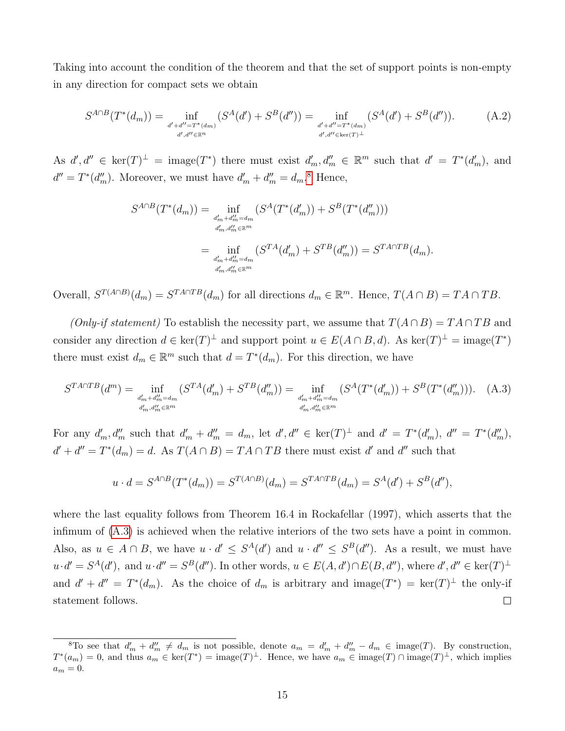Taking into account the condition of the theorem and that the set of support points is non-empty in any direction for compact sets we obtain

$$
S^{A \cap B}(T^*(d_m)) = \inf_{\substack{d' + d'' = T^*(d_m) \\ d', d'' \in \mathbb{R}^n}} (S^A(d') + S^B(d'')) = \inf_{\substack{d' + d'' = T^*(d_m) \\ d', d'' \in \ker(T)^\perp}} (S^A(d') + S^B(d'')). \tag{A.2}
$$

As  $d', d'' \in \text{ker}(T)^{\perp} = \text{image}(T^*)$  there must exist  $d'_m, d''_m \in \mathbb{R}^m$  such that  $d' = T^*(d'_m)$ , and  $d'' = T^*(d''_m)$ . Moreover, we must have  $d'_m + d''_m = d_m$ .<sup>[8](#page-0-0)</sup> Hence,

$$
S^{A \cap B}(T^*(d_m)) = \inf_{\substack{d'_m + d''_m = d_m \\ d'_m, d''_m \in \mathbb{R}^m}} (S^A(T^*(d'_m)) + S^B(T^*(d''_m)))
$$
  

$$
= \inf_{\substack{d'_m + d''_m = d_m \\ d'_m, d''_m \in \mathbb{R}^m}} (S^{TA}(d'_m) + S^{TB}(d''_m)) = S^{T A \cap TB}(d_m).
$$

Overall,  $S^{T(A \cap B)}(d_m) = S^{T A \cap T B}(d_m)$  for all directions  $d_m \in \mathbb{R}^m$ . Hence,  $T(A \cap B) = TA \cap TB$ .

(Only-if statement) To establish the necessity part, we assume that  $T(A \cap B) = TA \cap TB$  and consider any direction  $d \in \text{ker}(T)^{\perp}$  and support point  $u \in E(A \cap B, d)$ . As  $\text{ker}(T)^{\perp} = \text{image}(T^*)$ there must exist  $d_m \in \mathbb{R}^m$  such that  $d = T^*(d_m)$ . For this direction, we have

<span id="page-14-0"></span>
$$
S^{T A \cap T B}(d^{m}) = \inf_{\substack{d'_{m} + d''_{m} = d_{m} \\ d'_{m}, d''_{m} \in \mathbb{R}^{m}}} (S^{T A}(d'_{m}) + S^{T B}(d''_{m})) = \inf_{\substack{d'_{m} + d''_{m} = d_{m} \\ d'_{m}, d''_{m} \in \mathbb{R}^{m}}} (S^{A}(T^{*}(d'_{m})) + S^{B}(T^{*}(d''_{m}))). \quad (A.3)
$$

For any  $d'_m, d''_m$  such that  $d'_m + d''_m = d_m$ , let  $d', d'' \in \text{ker}(T)^{\perp}$  and  $d' = T^*(d'_m)$ ,  $d'' = T^*(d''_m)$ ,  $d' + d'' = T^*(d_m) = d$ . As  $T(A \cap B) = TA \cap TB$  there must exist d' and d'' such that

$$
u \cdot d = S^{A \cap B}(T^*(d_m)) = S^{T(A \cap B)}(d_m) = S^{T A \cap T B}(d_m) = S^A(d') + S^B(d''),
$$

where the last equality follows from Theorem 16.4 in Rockafellar (1997), which asserts that the infimum of [\(A.3\)](#page-14-0) is achieved when the relative interiors of the two sets have a point in common. Also, as  $u \in A \cap B$ , we have  $u \cdot d' \leq S^A(d')$  and  $u \cdot d'' \leq S^B(d'')$ . As a result, we must have  $u \cdot d' = S^A(d')$ , and  $u \cdot d'' = S^B(d'')$ . In other words,  $u \in E(A, d') \cap E(B, d'')$ , where  $d', d'' \in \text{ker}(T)^{\perp}$ and  $d' + d'' = T^*(d_m)$ . As the choice of  $d_m$  is arbitrary and image $(T^*) = \text{ker}(T)^{\perp}$  the only-if  $\Box$ statement follows.

<sup>&</sup>lt;sup>8</sup>To see that  $d'_m + d''_m \neq d_m$  is not possible, denote  $a_m = d'_m + d''_m - d_m \in \text{image}(T)$ . By construction,  $T^*(a_m) = 0$ , and thus  $a_m \in \text{ker}(T^*) = \text{image}(T)^{\perp}$ . Hence, we have  $a_m \in \text{image}(T) \cap \text{image}(T)^{\perp}$ , which implies  $a_m = 0.$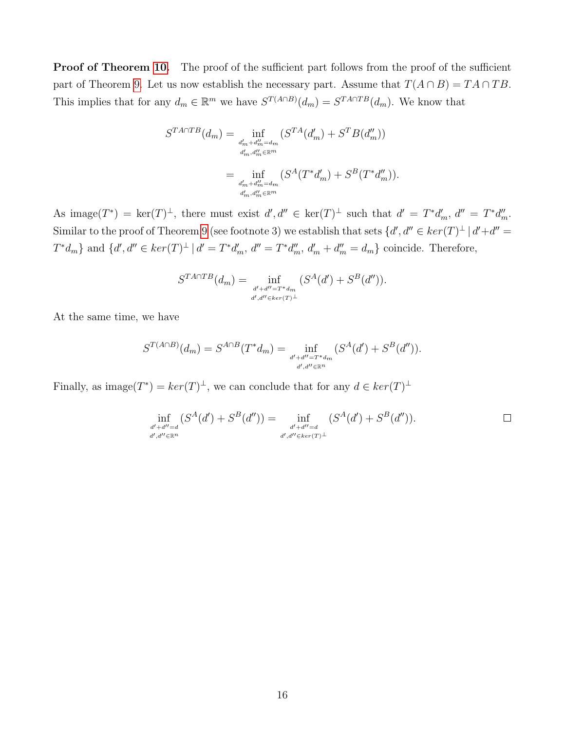Proof of Theorem [10.](#page-9-1) The proof of the sufficient part follows from the proof of the sufficient part of Theorem [9.](#page-8-1) Let us now establish the necessary part. Assume that  $T(A \cap B) = TA \cap TB$ . This implies that for any  $d_m \in \mathbb{R}^m$  we have  $S^{T(A \cap B)}(d_m) = S^{T A \cap T B}(d_m)$ . We know that

$$
S^{T A \cap T B}(d_m) = \inf_{\substack{d'_m + d''_m = d_m \\ d'_m, d''_m \in \mathbb{R}^m}} (S^{T A}(d'_m) + S^T B(d''_m))
$$
  

$$
= \inf_{\substack{d'_m + d''_m = d_m \\ d'_m, d''_m \in \mathbb{R}^m}} (S^A(T^* d'_m) + S^B(T^* d''_m)).
$$

As image $(T^*) = \ker(T)^{\perp}$ , there must exist  $d', d'' \in \ker(T)^{\perp}$  such that  $d' = T^*d'_m$ ,  $d'' = T^*d''_m$ . Similar to the proof of Theorem [9](#page-8-1) (see footnote 3) we establish that sets  $\{d', d'' \in \ker(T)^\perp \mid d' + d'' = 0\}$  $T^*d_m$ } and  $\{d', d'' \in \ker(T)^{\perp} \mid d' = T^*d'_m, d'' = T^*d''_m, d'_m + d''_m = d_m\}$  coincide. Therefore,

$$
S^{T A \cap T B}(d_m) = \inf_{\substack{d' + d'' = T^* d_m \\ d', d'' \in ker(T)^{\perp}}} (S^A(d') + S^B(d'')).
$$

At the same time, we have

$$
S^{T(A \cap B)}(d_m) = S^{A \cap B}(T^*d_m) = \inf_{\substack{d' + d'' = T^*d_m \\ d', d'' \in \mathbb{R}^n}} (S^A(d') + S^B(d'')).
$$

Finally, as image $(T^*) = \ker(T)^{\perp}$ , we can conclude that for any  $d \in \ker(T)^{\perp}$ 

$$
\inf_{\substack{d'+d''=d\\d',d''\in\mathbb{R}^n}} (S^A(d') + S^B(d'')) = \inf_{\substack{d'+d''=d\\d',d''\in\ker(T)^\perp}} (S^A(d') + S^B(d'')). \qquad \Box
$$